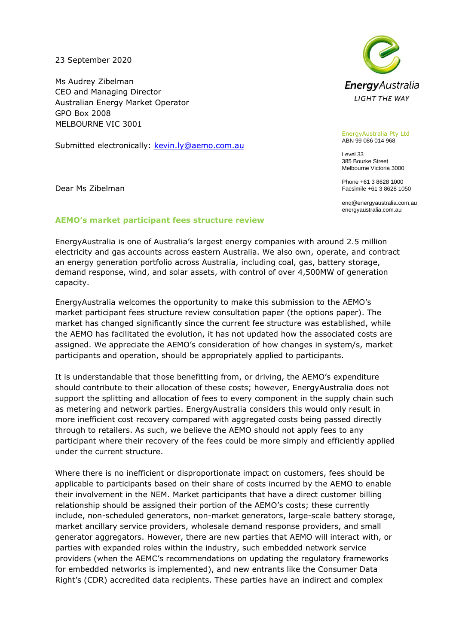23 September 2020

Ms Audrey Zibelman CEO and Managing Director Australian Energy Market Operator GPO Box 2008 MELBOURNE VIC 3001

Submitted electronically: [kevin.ly@aemo.com.au](mailto:kevin.ly@aemo.com.au)

Dear Ms Zibelman



EnergyAustralia Pty Ltd ABN 99 086 014 968

Level 33 385 Bourke Street Melbourne Victoria 3000

Phone +61 3 8628 1000 Facsimile +61 3 8628 1050

enq@energyaustralia.com.au energyaustralia.com.au

### **AEMO's market participant fees structure review**

EnergyAustralia is one of Australia's largest energy companies with around 2.5 million electricity and gas accounts across eastern Australia. We also own, operate, and contract an energy generation portfolio across Australia, including coal, gas, battery storage, demand response, wind, and solar assets, with control of over 4,500MW of generation capacity.

EnergyAustralia welcomes the opportunity to make this submission to the AEMO's market participant fees structure review consultation paper (the options paper). The market has changed significantly since the current fee structure was established, while the AEMO has facilitated the evolution, it has not updated how the associated costs are assigned. We appreciate the AEMO's consideration of how changes in system/s, market participants and operation, should be appropriately applied to participants.

It is understandable that those benefitting from, or driving, the AEMO's expenditure should contribute to their allocation of these costs; however, EnergyAustralia does not support the splitting and allocation of fees to every component in the supply chain such as metering and network parties. EnergyAustralia considers this would only result in more inefficient cost recovery compared with aggregated costs being passed directly through to retailers. As such, we believe the AEMO should not apply fees to any participant where their recovery of the fees could be more simply and efficiently applied under the current structure.

Where there is no inefficient or disproportionate impact on customers, fees should be applicable to participants based on their share of costs incurred by the AEMO to enable their involvement in the NEM. Market participants that have a direct customer billing relationship should be assigned their portion of the AEMO's costs; these currently include, non-scheduled generators, non-market generators, large-scale battery storage, market ancillary service providers, wholesale demand response providers, and small generator aggregators. However, there are new parties that AEMO will interact with, or parties with expanded roles within the industry, such embedded network service providers (when the AEMC's recommendations on updating the regulatory frameworks for embedded networks is implemented), and new entrants like the Consumer Data Right's (CDR) accredited data recipients. These parties have an indirect and complex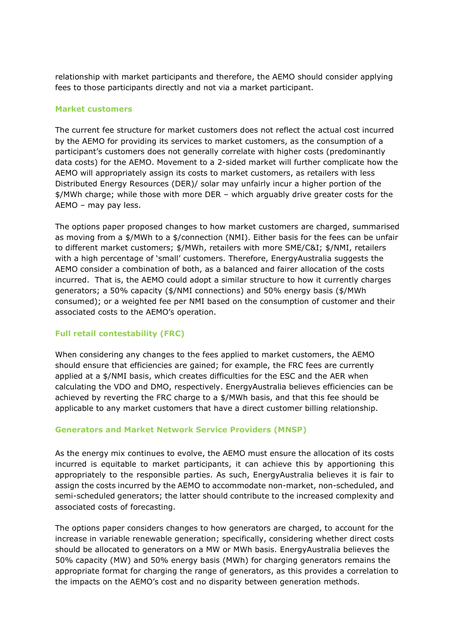relationship with market participants and therefore, the AEMO should consider applying fees to those participants directly and not via a market participant.

### **Market customers**

The current fee structure for market customers does not reflect the actual cost incurred by the AEMO for providing its services to market customers, as the consumption of a participant's customers does not generally correlate with higher costs (predominantly data costs) for the AEMO. Movement to a 2-sided market will further complicate how the AEMO will appropriately assign its costs to market customers, as retailers with less Distributed Energy Resources (DER)/ solar may unfairly incur a higher portion of the \$/MWh charge; while those with more DER – which arguably drive greater costs for the AEMO – may pay less.

The options paper proposed changes to how market customers are charged, summarised as moving from a \$/MWh to a \$/connection (NMI). Either basis for the fees can be unfair to different market customers; \$/MWh, retailers with more SME/C&I; \$/NMI, retailers with a high percentage of 'small' customers. Therefore, EnergyAustralia suggests the AEMO consider a combination of both, as a balanced and fairer allocation of the costs incurred. That is, the AEMO could adopt a similar structure to how it currently charges generators; a 50% capacity (\$/NMI connections) and 50% energy basis (\$/MWh consumed); or a weighted fee per NMI based on the consumption of customer and their associated costs to the AEMO's operation.

# **Full retail contestability (FRC)**

When considering any changes to the fees applied to market customers, the AEMO should ensure that efficiencies are gained; for example, the FRC fees are currently applied at a \$/NMI basis, which creates difficulties for the ESC and the AER when calculating the VDO and DMO, respectively. EnergyAustralia believes efficiencies can be achieved by reverting the FRC charge to a \$/MWh basis, and that this fee should be applicable to any market customers that have a direct customer billing relationship.

### **Generators and Market Network Service Providers (MNSP)**

As the energy mix continues to evolve, the AEMO must ensure the allocation of its costs incurred is equitable to market participants, it can achieve this by apportioning this appropriately to the responsible parties. As such, EnergyAustralia believes it is fair to assign the costs incurred by the AEMO to accommodate non-market, non-scheduled, and semi-scheduled generators; the latter should contribute to the increased complexity and associated costs of forecasting.

The options paper considers changes to how generators are charged, to account for the increase in variable renewable generation; specifically, considering whether direct costs should be allocated to generators on a MW or MWh basis. EnergyAustralia believes the 50% capacity (MW) and 50% energy basis (MWh) for charging generators remains the appropriate format for charging the range of generators, as this provides a correlation to the impacts on the AEMO's cost and no disparity between generation methods.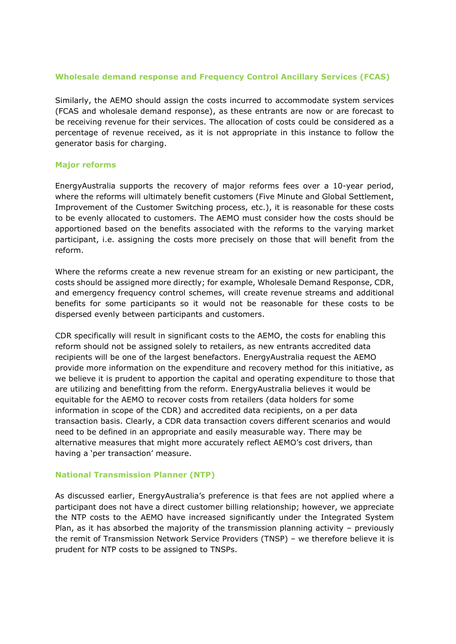## **Wholesale demand response and Frequency Control Ancillary Services (FCAS)**

Similarly, the AEMO should assign the costs incurred to accommodate system services (FCAS and wholesale demand response), as these entrants are now or are forecast to be receiving revenue for their services. The allocation of costs could be considered as a percentage of revenue received, as it is not appropriate in this instance to follow the generator basis for charging.

### **Major reforms**

EnergyAustralia supports the recovery of major reforms fees over a 10-year period, where the reforms will ultimately benefit customers (Five Minute and Global Settlement, Improvement of the Customer Switching process, etc.), it is reasonable for these costs to be evenly allocated to customers. The AEMO must consider how the costs should be apportioned based on the benefits associated with the reforms to the varying market participant, i.e. assigning the costs more precisely on those that will benefit from the reform.

Where the reforms create a new revenue stream for an existing or new participant, the costs should be assigned more directly; for example, Wholesale Demand Response, CDR, and emergency frequency control schemes, will create revenue streams and additional benefits for some participants so it would not be reasonable for these costs to be dispersed evenly between participants and customers.

CDR specifically will result in significant costs to the AEMO, the costs for enabling this reform should not be assigned solely to retailers, as new entrants accredited data recipients will be one of the largest benefactors. EnergyAustralia request the AEMO provide more information on the expenditure and recovery method for this initiative, as we believe it is prudent to apportion the capital and operating expenditure to those that are utilizing and benefitting from the reform. EnergyAustralia believes it would be equitable for the AEMO to recover costs from retailers (data holders for some information in scope of the CDR) and accredited data recipients, on a per data transaction basis. Clearly, a CDR data transaction covers different scenarios and would need to be defined in an appropriate and easily measurable way. There may be alternative measures that might more accurately reflect AEMO's cost drivers, than having a 'per transaction' measure.

### **National Transmission Planner (NTP)**

As discussed earlier, EnergyAustralia's preference is that fees are not applied where a participant does not have a direct customer billing relationship; however, we appreciate the NTP costs to the AEMO have increased significantly under the Integrated System Plan, as it has absorbed the majority of the transmission planning activity – previously the remit of Transmission Network Service Providers (TNSP) – we therefore believe it is prudent for NTP costs to be assigned to TNSPs.